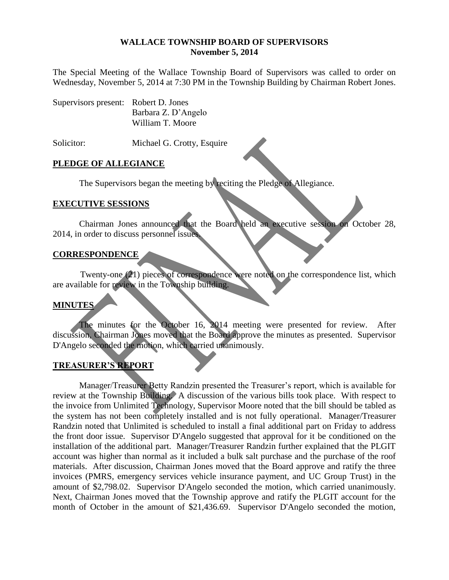#### **WALLACE TOWNSHIP BOARD OF SUPERVISORS November 5, 2014**

The Special Meeting of the Wallace Township Board of Supervisors was called to order on Wednesday, November 5, 2014 at 7:30 PM in the Township Building by Chairman Robert Jones.

| Supervisors present: Robert D. Jones |                     |
|--------------------------------------|---------------------|
|                                      | Barbara Z. D'Angelo |
|                                      | William T. Moore    |

Solicitor: Michael G. Crotty, Esquire

#### **PLEDGE OF ALLEGIANCE**

The Supervisors began the meeting by reciting the Pledge of Allegiance.

#### **EXECUTIVE SESSIONS**

Chairman Jones announced that the Board held an executive session on October 28, 2014, in order to discuss personnel issues.

### **CORRESPONDENCE**

Twenty-one (21) pieces of correspondence were noted on the correspondence list, which are available for review in the Township building.

### **MINUTES**

The minutes for the October 16, 2014 meeting were presented for review. After discussion, Chairman Jones moved that the Board approve the minutes as presented. Supervisor D'Angelo seconded the motion, which carried unanimously.

### **TREASURER'S REPORT**

Manager/Treasurer Betty Randzin presented the Treasurer's report, which is available for review at the Township Building. A discussion of the various bills took place. With respect to the invoice from Unlimited Technology, Supervisor Moore noted that the bill should be tabled as the system has not been completely installed and is not fully operational. Manager/Treasurer Randzin noted that Unlimited is scheduled to install a final additional part on Friday to address the front door issue. Supervisor D'Angelo suggested that approval for it be conditioned on the installation of the additional part. Manager/Treasurer Randzin further explained that the PLGIT account was higher than normal as it included a bulk salt purchase and the purchase of the roof materials. After discussion, Chairman Jones moved that the Board approve and ratify the three invoices (PMRS, emergency services vehicle insurance payment, and UC Group Trust) in the amount of \$2,798.02. Supervisor D'Angelo seconded the motion, which carried unanimously. Next, Chairman Jones moved that the Township approve and ratify the PLGIT account for the month of October in the amount of \$21,436.69. Supervisor D'Angelo seconded the motion,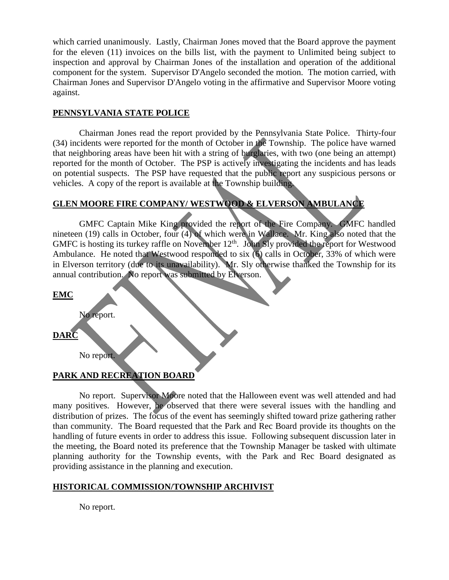which carried unanimously. Lastly, Chairman Jones moved that the Board approve the payment for the eleven (11) invoices on the bills list, with the payment to Unlimited being subject to inspection and approval by Chairman Jones of the installation and operation of the additional component for the system. Supervisor D'Angelo seconded the motion. The motion carried, with Chairman Jones and Supervisor D'Angelo voting in the affirmative and Supervisor Moore voting against.

#### **PENNSYLVANIA STATE POLICE**

Chairman Jones read the report provided by the Pennsylvania State Police. Thirty-four (34) incidents were reported for the month of October in the Township. The police have warned that neighboring areas have been hit with a string of burglaries, with two (one being an attempt) reported for the month of October. The PSP is actively investigating the incidents and has leads on potential suspects. The PSP have requested that the public report any suspicious persons or vehicles. A copy of the report is available at the Township building.

# **GLEN MOORE FIRE COMPANY/ WESTWOOD & ELVERSON AMBULANCE**

GMFC Captain Mike King provided the report of the Fire Company. GMFC handled nineteen (19) calls in October, four (4) of which were in Wallace. Mr. King also noted that the GMFC is hosting its turkey raffle on November 12<sup>th</sup>. John Sly provided the report for Westwood Ambulance. He noted that Westwood responded to six (6) calls in October, 33% of which were in Elverson territory (due to its unavailability). Mr. Sly otherwise thanked the Township for its annual contribution. No report was submitted by Elverson.

| <b>EMC</b>  |            |                           |  |  |
|-------------|------------|---------------------------|--|--|
| <b>DARC</b> | No report. |                           |  |  |
|             | No report. |                           |  |  |
|             |            | PARK AND RECREATION BOARD |  |  |

No report. Supervisor Moore noted that the Halloween event was well attended and had many positives. However, he observed that there were several issues with the handling and distribution of prizes. The focus of the event has seemingly shifted toward prize gathering rather than community. The Board requested that the Park and Rec Board provide its thoughts on the handling of future events in order to address this issue. Following subsequent discussion later in the meeting, the Board noted its preference that the Township Manager be tasked with ultimate planning authority for the Township events, with the Park and Rec Board designated as providing assistance in the planning and execution.

### **HISTORICAL COMMISSION/TOWNSHIP ARCHIVIST**

No report.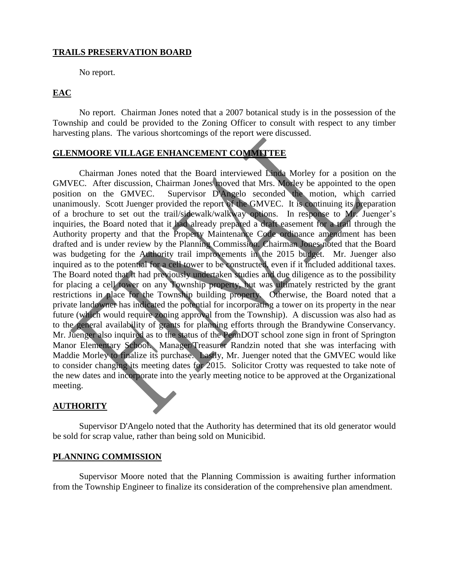#### **TRAILS PRESERVATION BOARD**

No report.

## **EAC**

No report. Chairman Jones noted that a 2007 botanical study is in the possession of the Township and could be provided to the Zoning Officer to consult with respect to any timber harvesting plans. The various shortcomings of the report were discussed.

# **GLENMOORE VILLAGE ENHANCEMENT COMMITTEE**

Chairman Jones noted that the Board interviewed Linda Morley for a position on the GMVEC. After discussion, Chairman Jones moved that Mrs. Morley be appointed to the open position on the GMVEC. Supervisor D'Angelo seconded the motion, which carried unanimously. Scott Juenger provided the report of the GMVEC. It is continuing its preparation of a brochure to set out the trail/sidewalk/walkway options. In response to Mr. Juenger's inquiries, the Board noted that it had already prepared a draft easement for a trail through the Authority property and that the Property Maintenance Code ordinance amendment has been drafted and is under review by the Planning Commission. Chairman Jones noted that the Board was budgeting for the Authority trail improvements in the 2015 budget. Mr. Juenger also inquired as to the potential for a cell tower to be constructed, even if it included additional taxes. The Board noted that it had previously undertaken studies and due diligence as to the possibility for placing a cell tower on any Township property, but was ultimately restricted by the grant restrictions in place for the Township building property. Otherwise, the Board noted that a private landowner has indicated the potential for incorporating a tower on its property in the near future (which would require zoning approval from the Township). A discussion was also had as to the general availability of grants for planning efforts through the Brandywine Conservancy. Mr. Juenger also inquired as to the status of the PennDOT school zone sign in front of Springton Manor Elementary School. Manager/Treasurer Randzin noted that she was interfacing with Maddie Morley to finalize its purchase. Lastly, Mr. Juenger noted that the GMVEC would like to consider changing its meeting dates for 2015. Solicitor Crotty was requested to take note of the new dates and incorporate into the yearly meeting notice to be approved at the Organizational meeting.

#### **AUTHORITY**

Supervisor D'Angelo noted that the Authority has determined that its old generator would be sold for scrap value, rather than being sold on Municibid.

#### **PLANNING COMMISSION**

Supervisor Moore noted that the Planning Commission is awaiting further information from the Township Engineer to finalize its consideration of the comprehensive plan amendment.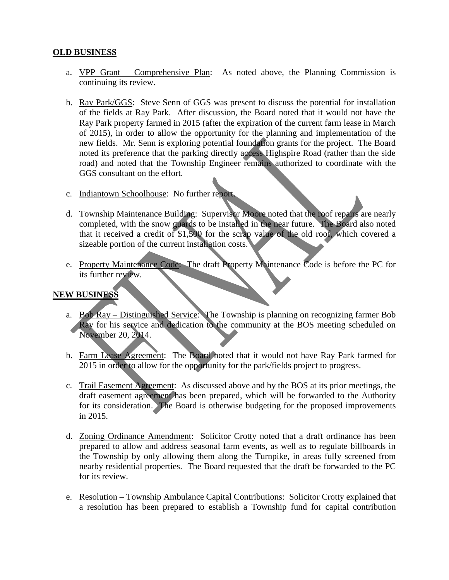### **OLD BUSINESS**

- a. VPP Grant Comprehensive Plan: As noted above, the Planning Commission is continuing its review.
- b. Ray Park/GGS: Steve Senn of GGS was present to discuss the potential for installation of the fields at Ray Park. After discussion, the Board noted that it would not have the Ray Park property farmed in 2015 (after the expiration of the current farm lease in March of 2015), in order to allow the opportunity for the planning and implementation of the new fields. Mr. Senn is exploring potential foundation grants for the project. The Board noted its preference that the parking directly access Highspire Road (rather than the side road) and noted that the Township Engineer remains authorized to coordinate with the GGS consultant on the effort.
- c. Indiantown Schoolhouse: No further report.
- d. Township Maintenance Building: Supervisor Moore noted that the roof repairs are nearly completed, with the snow guards to be installed in the near future. The Board also noted that it received a credit of \$1,500 for the scrap value of the old roof, which covered a sizeable portion of the current installation costs.
- e. Property Maintenance Code: The draft Property Maintenance Code is before the PC for its further review.

### **NEW BUSINESS**

- a. Bob Ray Distinguished Service: The Township is planning on recognizing farmer Bob Ray for his service and dedication to the community at the BOS meeting scheduled on November 20, 2014.
- b. Farm Lease Agreement: The Board noted that it would not have Ray Park farmed for 2015 in order to allow for the opportunity for the park/fields project to progress.
- c. Trail Easement Agreement: As discussed above and by the BOS at its prior meetings, the draft easement agreement has been prepared, which will be forwarded to the Authority for its consideration. The Board is otherwise budgeting for the proposed improvements in 2015.
- d. Zoning Ordinance Amendment: Solicitor Crotty noted that a draft ordinance has been prepared to allow and address seasonal farm events, as well as to regulate billboards in the Township by only allowing them along the Turnpike, in areas fully screened from nearby residential properties. The Board requested that the draft be forwarded to the PC for its review.
- e. Resolution Township Ambulance Capital Contributions: Solicitor Crotty explained that a resolution has been prepared to establish a Township fund for capital contribution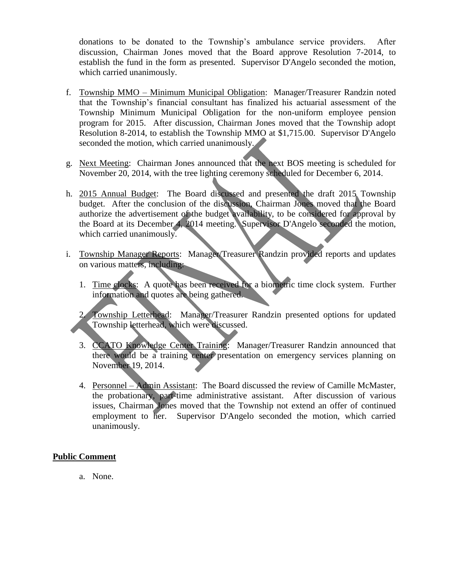donations to be donated to the Township's ambulance service providers. After discussion, Chairman Jones moved that the Board approve Resolution 7-2014, to establish the fund in the form as presented. Supervisor D'Angelo seconded the motion, which carried unanimously.

- f. Township MMO Minimum Municipal Obligation: Manager/Treasurer Randzin noted that the Township's financial consultant has finalized his actuarial assessment of the Township Minimum Municipal Obligation for the non-uniform employee pension program for 2015. After discussion, Chairman Jones moved that the Township adopt Resolution 8-2014, to establish the Township MMO at \$1,715.00. Supervisor D'Angelo seconded the motion, which carried unanimously.
- g. Next Meeting: Chairman Jones announced that the next BOS meeting is scheduled for November 20, 2014, with the tree lighting ceremony scheduled for December 6, 2014.
- h. 2015 Annual Budget: The Board discussed and presented the draft 2015 Township budget. After the conclusion of the discussion, Chairman Jones moved that the Board authorize the advertisement of the budget availability, to be considered for approval by the Board at its December 4, 2014 meeting. Supervisor D'Angelo seconded the motion, which carried unanimously.
- i. Township Manager Reports: Manager/Treasurer Randzin provided reports and updates on various matters, including:
	- 1. Time clocks: A quote has been received for a biometric time clock system. Further information and quotes are being gathered.

2. Township Letterhead: Manager/Treasurer Randzin presented options for updated Township letterhead, which were discussed.

- 3. CCATO Knowledge Center Training: Manager/Treasurer Randzin announced that there would be a training center presentation on emergency services planning on November 19, 2014.
- 4. Personnel Admin Assistant: The Board discussed the review of Camille McMaster, the probationary, part-time administrative assistant. After discussion of various issues, Chairman Jones moved that the Township not extend an offer of continued employment to her. Supervisor D'Angelo seconded the motion, which carried unanimously.

### **Public Comment**

a. None.